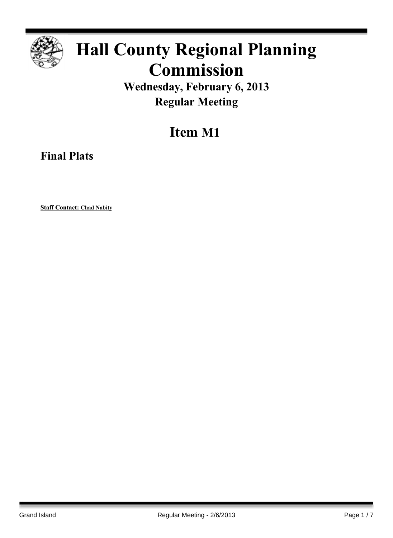

## **Hall County Regional Planning Commission**

**Wednesday, February 6, 2013 Regular Meeting**

**Item M1**

**Final Plats**

**Staff Contact: Chad Nabity**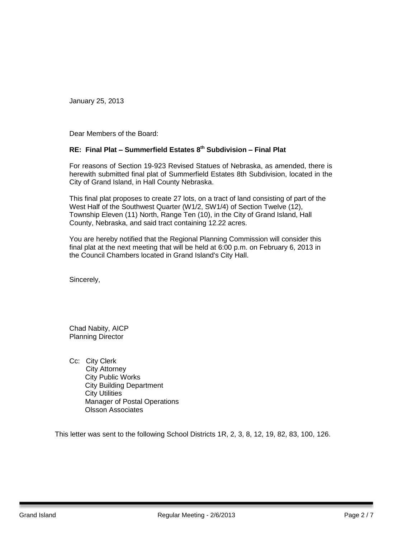January 25, 2013

Dear Members of the Board:

## **RE: Final Plat – Summerfield Estates 8 th Subdivision – Final Plat**

For reasons of Section 19-923 Revised Statues of Nebraska, as amended, there is herewith submitted final plat of Summerfield Estates 8th Subdivision, located in the City of Grand Island, in Hall County Nebraska.

This final plat proposes to create 27 lots, on a tract of land consisting of part of the West Half of the Southwest Quarter (W1/2, SW1/4) of Section Twelve (12), Township Eleven (11) North, Range Ten (10), in the City of Grand Island, Hall County, Nebraska, and said tract containing 12.22 acres.

You are hereby notified that the Regional Planning Commission will consider this final plat at the next meeting that will be held at 6:00 p.m. on February 6, 2013 in the Council Chambers located in Grand Island's City Hall.

Sincerely,

Chad Nabity, AICP Planning Director

Cc: City Clerk City Attorney City Public Works City Building Department City Utilities Manager of Postal Operations Olsson Associates

This letter was sent to the following School Districts 1R, 2, 3, 8, 12, 19, 82, 83, 100, 126.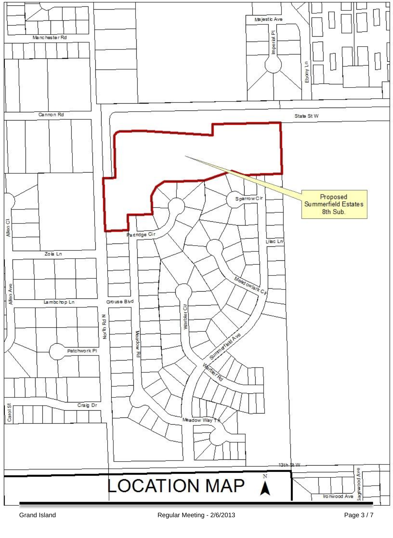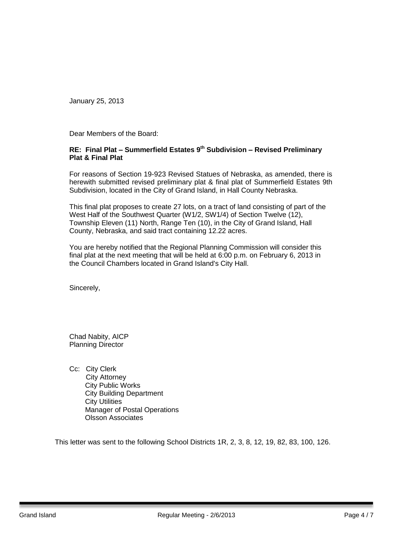January 25, 2013

Dear Members of the Board:

## **RE: Final Plat – Summerfield Estates 9 th Subdivision – Revised Preliminary Plat & Final Plat**

For reasons of Section 19-923 Revised Statues of Nebraska, as amended, there is herewith submitted revised preliminary plat & final plat of Summerfield Estates 9th Subdivision, located in the City of Grand Island, in Hall County Nebraska.

This final plat proposes to create 27 lots, on a tract of land consisting of part of the West Half of the Southwest Quarter (W1/2, SW1/4) of Section Twelve (12), Township Eleven (11) North, Range Ten (10), in the City of Grand Island, Hall County, Nebraska, and said tract containing 12.22 acres.

You are hereby notified that the Regional Planning Commission will consider this final plat at the next meeting that will be held at 6:00 p.m. on February 6, 2013 in the Council Chambers located in Grand Island's City Hall.

Sincerely,

Chad Nabity, AICP Planning Director

Cc: City Clerk City Attorney City Public Works City Building Department City Utilities Manager of Postal Operations Olsson Associates

This letter was sent to the following School Districts 1R, 2, 3, 8, 12, 19, 82, 83, 100, 126.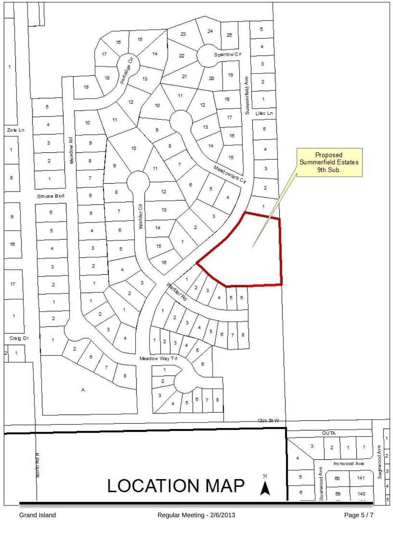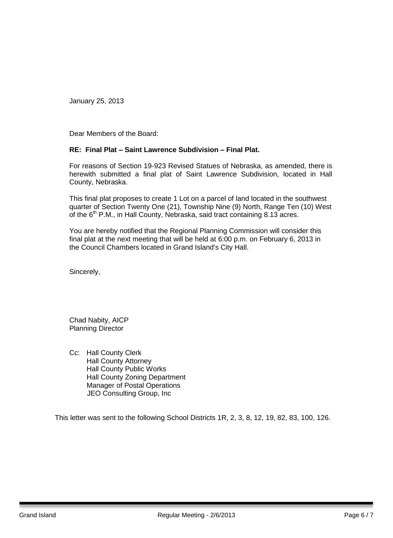January 25, 2013

Dear Members of the Board:

## **RE: Final Plat – Saint Lawrence Subdivision – Final Plat.**

For reasons of Section 19-923 Revised Statues of Nebraska, as amended, there is herewith submitted a final plat of Saint Lawrence Subdivision, located in Hall County, Nebraska.

This final plat proposes to create 1 Lot on a parcel of land located in the southwest quarter of Section Twenty One (21), Township Nine (9) North, Range Ten (10) West of the 6<sup>th</sup> P.M., in Hall County, Nebraska, said tract containing 8.13 acres.

You are hereby notified that the Regional Planning Commission will consider this final plat at the next meeting that will be held at 6:00 p.m. on February 6, 2013 in the Council Chambers located in Grand Island's City Hall.

Sincerely,

Chad Nabity, AICP Planning Director

Cc: Hall County Clerk Hall County Attorney Hall County Public Works Hall County Zoning Department Manager of Postal Operations JEO Consulting Group, Inc

This letter was sent to the following School Districts 1R, 2, 3, 8, 12, 19, 82, 83, 100, 126.